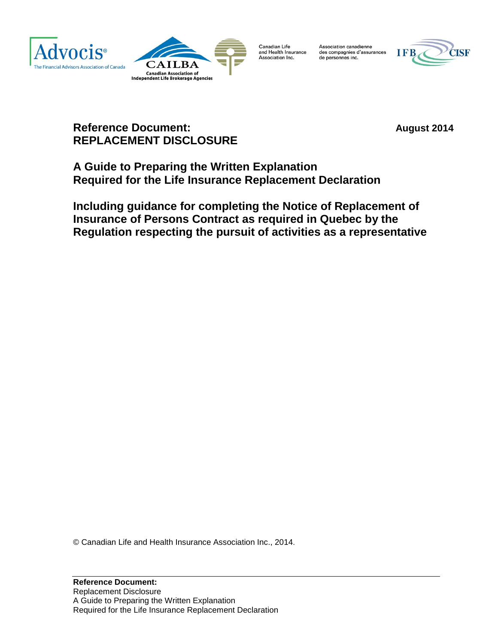



Canadian Life<br>and Health Insurance Association Inc.

Association canadienne<br>des compagnies d'assurances de personnes inc.



# **Reference Document: August** 2014 **REPLACEMENT DISCLOSURE**

**A Guide to Preparing the Written Explanation Required for the Life Insurance Replacement Declaration**

**Including guidance for completing the Notice of Replacement of Insurance of Persons Contract as required in Quebec by the Regulation respecting the pursuit of activities as a representative**

© Canadian Life and Health Insurance Association Inc., 2014.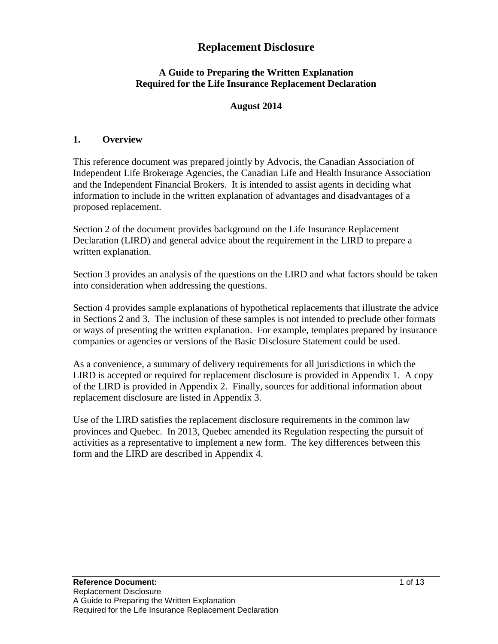## **Replacement Disclosure**

### **A Guide to Preparing the Written Explanation Required for the Life Insurance Replacement Declaration**

### **August 2014**

#### **1. Overview**

This reference document was prepared jointly by Advocis, the Canadian Association of Independent Life Brokerage Agencies, the Canadian Life and Health Insurance Association and the Independent Financial Brokers. It is intended to assist agents in deciding what information to include in the written explanation of advantages and disadvantages of a proposed replacement.

Section 2 of the document provides background on the Life Insurance Replacement Declaration (LIRD) and general advice about the requirement in the LIRD to prepare a written explanation.

Section 3 provides an analysis of the questions on the LIRD and what factors should be taken into consideration when addressing the questions.

Section 4 provides sample explanations of hypothetical replacements that illustrate the advice in Sections 2 and 3. The inclusion of these samples is not intended to preclude other formats or ways of presenting the written explanation. For example, templates prepared by insurance companies or agencies or versions of the Basic Disclosure Statement could be used.

As a convenience, a summary of delivery requirements for all jurisdictions in which the LIRD is accepted or required for replacement disclosure is provided in Appendix 1. A copy of the LIRD is provided in Appendix 2. Finally, sources for additional information about replacement disclosure are listed in Appendix 3.

Use of the LIRD satisfies the replacement disclosure requirements in the common law provinces and Quebec. In 2013, Quebec amended its Regulation respecting the pursuit of activities as a representative to implement a new form. The key differences between this form and the LIRD are described in Appendix 4.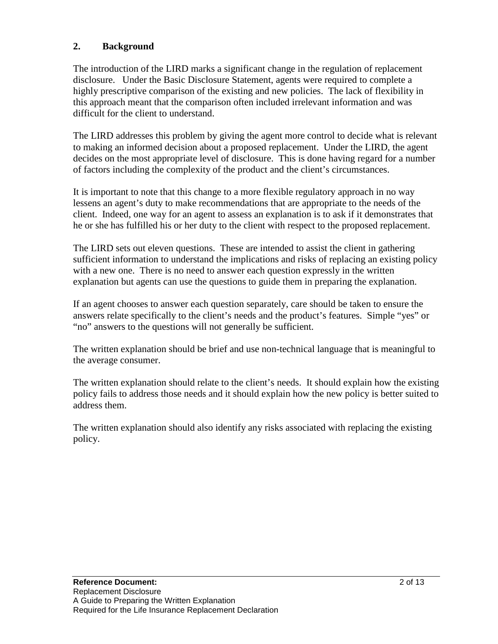### **2. Background**

The introduction of the LIRD marks a significant change in the regulation of replacement disclosure. Under the Basic Disclosure Statement, agents were required to complete a highly prescriptive comparison of the existing and new policies. The lack of flexibility in this approach meant that the comparison often included irrelevant information and was difficult for the client to understand.

The LIRD addresses this problem by giving the agent more control to decide what is relevant to making an informed decision about a proposed replacement. Under the LIRD, the agent decides on the most appropriate level of disclosure. This is done having regard for a number of factors including the complexity of the product and the client's circumstances.

It is important to note that this change to a more flexible regulatory approach in no way lessens an agent's duty to make recommendations that are appropriate to the needs of the client. Indeed, one way for an agent to assess an explanation is to ask if it demonstrates that he or she has fulfilled his or her duty to the client with respect to the proposed replacement.

The LIRD sets out eleven questions. These are intended to assist the client in gathering sufficient information to understand the implications and risks of replacing an existing policy with a new one. There is no need to answer each question expressly in the written explanation but agents can use the questions to guide them in preparing the explanation.

If an agent chooses to answer each question separately, care should be taken to ensure the answers relate specifically to the client's needs and the product's features. Simple "yes" or "no" answers to the questions will not generally be sufficient.

The written explanation should be brief and use non-technical language that is meaningful to the average consumer.

The written explanation should relate to the client's needs. It should explain how the existing policy fails to address those needs and it should explain how the new policy is better suited to address them.

The written explanation should also identify any risks associated with replacing the existing policy.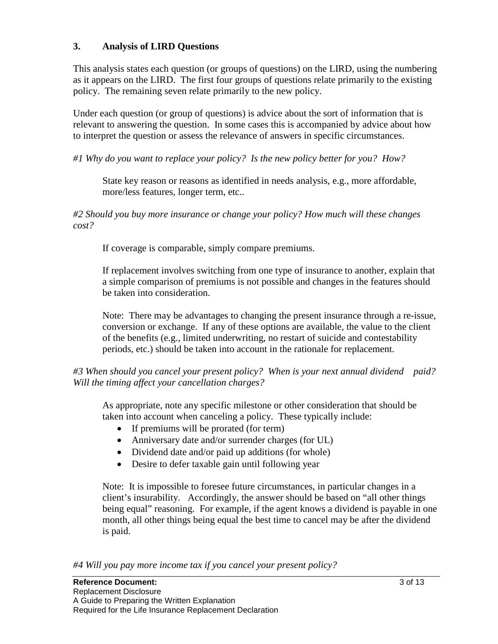### **3. Analysis of LIRD Questions**

This analysis states each question (or groups of questions) on the LIRD, using the numbering as it appears on the LIRD. The first four groups of questions relate primarily to the existing policy. The remaining seven relate primarily to the new policy.

Under each question (or group of questions) is advice about the sort of information that is relevant to answering the question. In some cases this is accompanied by advice about how to interpret the question or assess the relevance of answers in specific circumstances.

*#1 Why do you want to replace your policy? Is the new policy better for you? How?*

State key reason or reasons as identified in needs analysis, e.g., more affordable, more/less features, longer term, etc..

*#2 Should you buy more insurance or change your policy? How much will these changes cost?*

If coverage is comparable, simply compare premiums.

If replacement involves switching from one type of insurance to another, explain that a simple comparison of premiums is not possible and changes in the features should be taken into consideration.

Note: There may be advantages to changing the present insurance through a re-issue, conversion or exchange. If any of these options are available, the value to the client of the benefits (e.g., limited underwriting, no restart of suicide and contestability periods, etc.) should be taken into account in the rationale for replacement.

*#3 When should you cancel your present policy? When is your next annual dividend paid? Will the timing affect your cancellation charges?*

As appropriate, note any specific milestone or other consideration that should be taken into account when canceling a policy. These typically include:

- If premiums will be prorated (for term)
- Anniversary date and/or surrender charges (for UL)
- Dividend date and/or paid up additions (for whole)
- Desire to defer taxable gain until following year

Note: It is impossible to foresee future circumstances, in particular changes in a client's insurability. Accordingly, the answer should be based on "all other things being equal" reasoning. For example, if the agent knows a dividend is payable in one month, all other things being equal the best time to cancel may be after the dividend is paid.

*#4 Will you pay more income tax if you cancel your present policy?*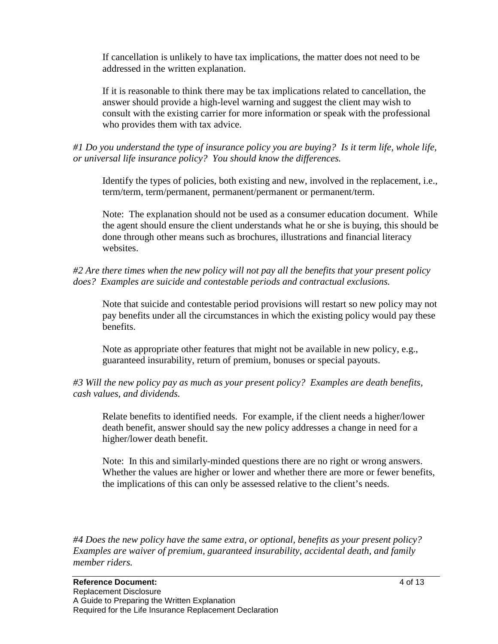If cancellation is unlikely to have tax implications, the matter does not need to be addressed in the written explanation.

If it is reasonable to think there may be tax implications related to cancellation, the answer should provide a high-level warning and suggest the client may wish to consult with the existing carrier for more information or speak with the professional who provides them with tax advice.

*#1 Do you understand the type of insurance policy you are buying? Is it term life, whole life, or universal life insurance policy? You should know the differences.*

Identify the types of policies, both existing and new, involved in the replacement, i.e., term/term, term/permanent, permanent/permanent or permanent/term.

Note: The explanation should not be used as a consumer education document. While the agent should ensure the client understands what he or she is buying, this should be done through other means such as brochures, illustrations and financial literacy websites.

### *#2 Are there times when the new policy will not pay all the benefits that your present policy does? Examples are suicide and contestable periods and contractual exclusions.*

Note that suicide and contestable period provisions will restart so new policy may not pay benefits under all the circumstances in which the existing policy would pay these benefits.

Note as appropriate other features that might not be available in new policy, e.g., guaranteed insurability, return of premium, bonuses or special payouts.

*#3 Will the new policy pay as much as your present policy? Examples are death benefits, cash values, and dividends.*

Relate benefits to identified needs. For example, if the client needs a higher/lower death benefit, answer should say the new policy addresses a change in need for a higher/lower death benefit.

Note: In this and similarly-minded questions there are no right or wrong answers. Whether the values are higher or lower and whether there are more or fewer benefits, the implications of this can only be assessed relative to the client's needs.

*#4 Does the new policy have the same extra, or optional, benefits as your present policy? Examples are waiver of premium, guaranteed insurability, accidental death, and family member riders.*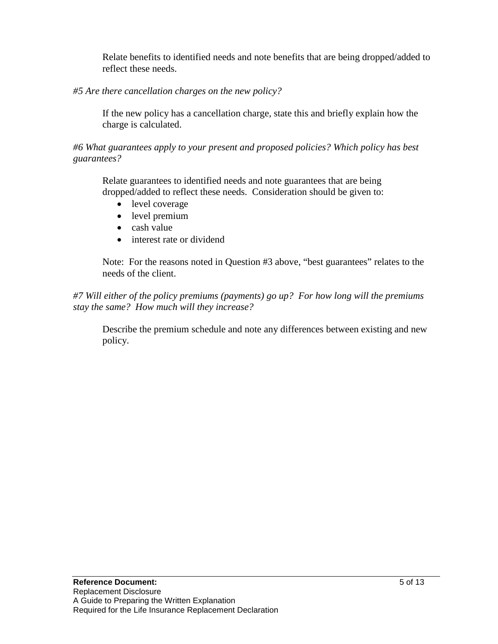Relate benefits to identified needs and note benefits that are being dropped/added to reflect these needs.

*#5 Are there cancellation charges on the new policy?*

If the new policy has a cancellation charge, state this and briefly explain how the charge is calculated.

*#6 What guarantees apply to your present and proposed policies? Which policy has best guarantees?*

Relate guarantees to identified needs and note guarantees that are being dropped/added to reflect these needs. Consideration should be given to:

- level coverage
- level premium
- cash value
- interest rate or dividend

Note: For the reasons noted in Question #3 above, "best guarantees" relates to the needs of the client.

*#7 Will either of the policy premiums (payments) go up? For how long will the premiums stay the same? How much will they increase?*

Describe the premium schedule and note any differences between existing and new policy.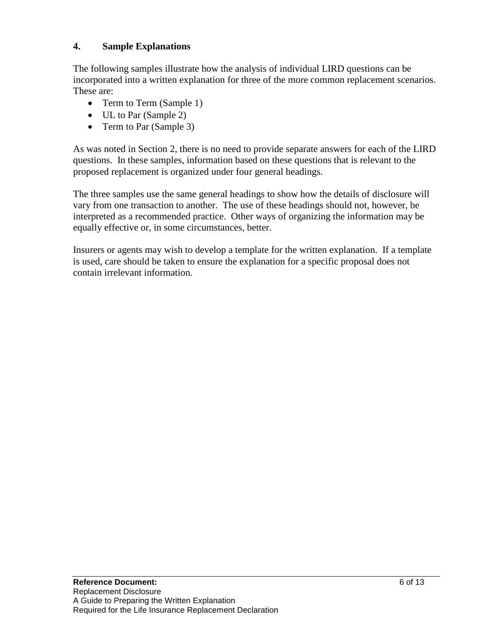### **4. Sample Explanations**

The following samples illustrate how the analysis of individual LIRD questions can be incorporated into a written explanation for three of the more common replacement scenarios. These are:

- Term to Term (Sample 1)
- UL to Par (Sample 2)
- Term to Par (Sample 3)

As was noted in Section 2, there is no need to provide separate answers for each of the LIRD questions. In these samples, information based on these questions that is relevant to the proposed replacement is organized under four general headings.

The three samples use the same general headings to show how the details of disclosure will vary from one transaction to another. The use of these headings should not, however, be interpreted as a recommended practice. Other ways of organizing the information may be equally effective or, in some circumstances, better.

Insurers or agents may wish to develop a template for the written explanation. If a template is used, care should be taken to ensure the explanation for a specific proposal does not contain irrelevant information.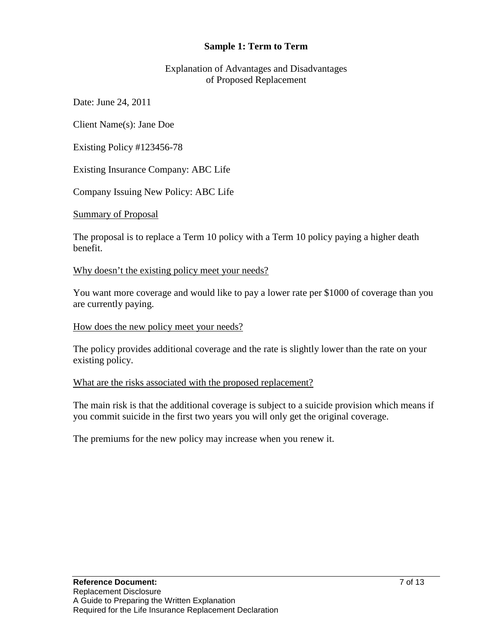### **Sample 1: Term to Term**

Explanation of Advantages and Disadvantages of Proposed Replacement

Date: June 24, 2011

Client Name(s): Jane Doe

Existing Policy #123456-78

Existing Insurance Company: ABC Life

Company Issuing New Policy: ABC Life

Summary of Proposal

The proposal is to replace a Term 10 policy with a Term 10 policy paying a higher death benefit.

Why doesn't the existing policy meet your needs?

You want more coverage and would like to pay a lower rate per \$1000 of coverage than you are currently paying.

#### How does the new policy meet your needs?

The policy provides additional coverage and the rate is slightly lower than the rate on your existing policy.

#### What are the risks associated with the proposed replacement?

The main risk is that the additional coverage is subject to a suicide provision which means if you commit suicide in the first two years you will only get the original coverage.

The premiums for the new policy may increase when you renew it.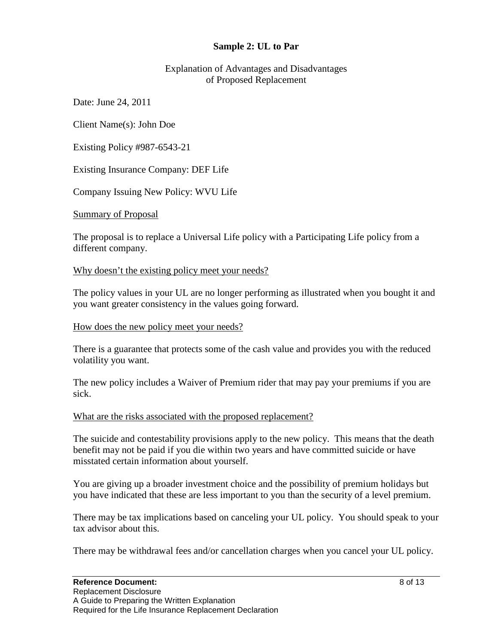#### **Sample 2: UL to Par**

Explanation of Advantages and Disadvantages of Proposed Replacement

Date: June 24, 2011

Client Name(s): John Doe

Existing Policy #987-6543-21

Existing Insurance Company: DEF Life

Company Issuing New Policy: WVU Life

Summary of Proposal

The proposal is to replace a Universal Life policy with a Participating Life policy from a different company.

#### Why doesn't the existing policy meet your needs?

The policy values in your UL are no longer performing as illustrated when you bought it and you want greater consistency in the values going forward.

#### How does the new policy meet your needs?

There is a guarantee that protects some of the cash value and provides you with the reduced volatility you want.

The new policy includes a Waiver of Premium rider that may pay your premiums if you are sick.

#### What are the risks associated with the proposed replacement?

The suicide and contestability provisions apply to the new policy. This means that the death benefit may not be paid if you die within two years and have committed suicide or have misstated certain information about yourself.

You are giving up a broader investment choice and the possibility of premium holidays but you have indicated that these are less important to you than the security of a level premium.

There may be tax implications based on canceling your UL policy. You should speak to your tax advisor about this.

There may be withdrawal fees and/or cancellation charges when you cancel your UL policy.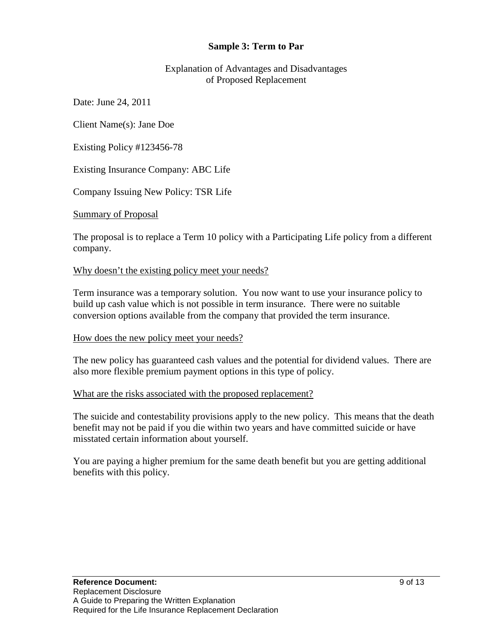#### **Sample 3: Term to Par**

Explanation of Advantages and Disadvantages of Proposed Replacement

Date: June 24, 2011

Client Name(s): Jane Doe

Existing Policy #123456-78

Existing Insurance Company: ABC Life

Company Issuing New Policy: TSR Life

Summary of Proposal

The proposal is to replace a Term 10 policy with a Participating Life policy from a different company.

#### Why doesn't the existing policy meet your needs?

Term insurance was a temporary solution. You now want to use your insurance policy to build up cash value which is not possible in term insurance. There were no suitable conversion options available from the company that provided the term insurance.

#### How does the new policy meet your needs?

The new policy has guaranteed cash values and the potential for dividend values. There are also more flexible premium payment options in this type of policy.

#### What are the risks associated with the proposed replacement?

The suicide and contestability provisions apply to the new policy. This means that the death benefit may not be paid if you die within two years and have committed suicide or have misstated certain information about yourself.

You are paying a higher premium for the same death benefit but you are getting additional benefits with this policy.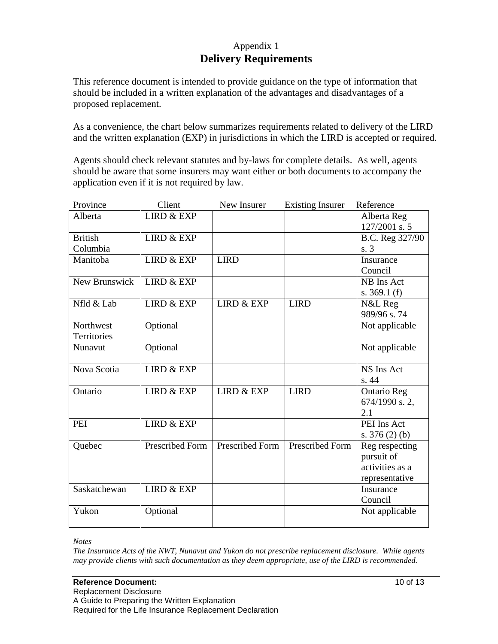## Appendix 1 **Delivery Requirements**

This reference document is intended to provide guidance on the type of information that should be included in a written explanation of the advantages and disadvantages of a proposed replacement.

As a convenience, the chart below summarizes requirements related to delivery of the LIRD and the written explanation (EXP) in jurisdictions in which the LIRD is accepted or required.

Agents should check relevant statutes and by-laws for complete details. As well, agents should be aware that some insurers may want either or both documents to accompany the application even if it is not required by law.

| Province       | Client                | New Insurer           | <b>Existing Insurer</b> | Reference          |
|----------------|-----------------------|-----------------------|-------------------------|--------------------|
| Alberta        | <b>LIRD &amp; EXP</b> |                       |                         | Alberta Reg        |
|                |                       |                       |                         | 127/2001 s. 5      |
| <b>British</b> | <b>LIRD &amp; EXP</b> |                       |                         | B.C. Reg 327/90    |
| Columbia       |                       |                       |                         | s. 3               |
| Manitoba       | <b>LIRD &amp; EXP</b> | <b>LIRD</b>           |                         | Insurance          |
|                |                       |                       |                         | Council            |
| New Brunswick  | <b>LIRD &amp; EXP</b> |                       |                         | NB Ins Act         |
|                |                       |                       |                         | s. $369.1(f)$      |
| Nfld & Lab     | <b>LIRD &amp; EXP</b> | <b>LIRD &amp; EXP</b> | <b>LIRD</b>             | N&L Reg            |
|                |                       |                       |                         | 989/96 s.74        |
| Northwest      | Optional              |                       |                         | Not applicable     |
| Territories    |                       |                       |                         |                    |
| Nunavut        | Optional              |                       |                         | Not applicable     |
|                |                       |                       |                         |                    |
| Nova Scotia    | <b>LIRD &amp; EXP</b> |                       |                         | NS Ins Act         |
|                |                       |                       |                         | s. 44              |
| Ontario        | <b>LIRD &amp; EXP</b> | <b>LIRD &amp; EXP</b> | <b>LIRD</b>             | <b>Ontario Reg</b> |
|                |                       |                       |                         | 674/1990 s. 2,     |
|                |                       |                       |                         | 2.1                |
| PEI            | <b>LIRD &amp; EXP</b> |                       |                         | PEI Ins Act        |
|                |                       |                       |                         | s. $376(2)(b)$     |
| Quebec         | Prescribed Form       | Prescribed Form       | Prescribed Form         | Reg respecting     |
|                |                       |                       |                         | pursuit of         |
|                |                       |                       |                         | activities as a    |
|                |                       |                       |                         | representative     |
| Saskatchewan   | <b>LIRD &amp; EXP</b> |                       |                         | Insurance          |
|                |                       |                       |                         | Council            |
| Yukon          | Optional              |                       |                         | Not applicable     |
|                |                       |                       |                         |                    |

*Notes*

*The Insurance Acts of the NWT, Nunavut and Yukon do not prescribe replacement disclosure. While agents may provide clients with such documentation as they deem appropriate, use of the LIRD is recommended.*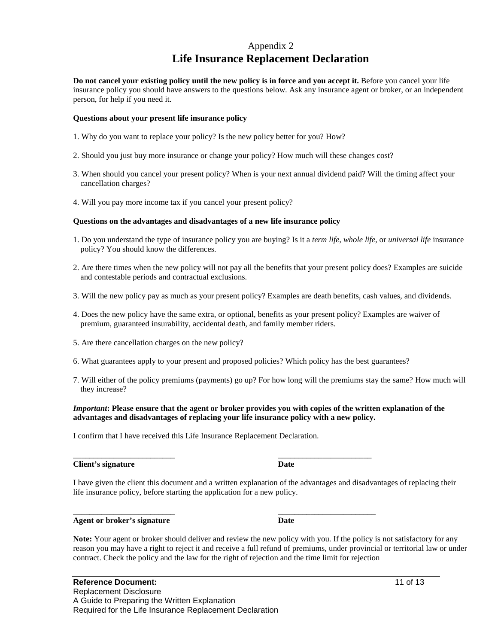### Appendix 2 **Life Insurance Replacement Declaration**

**Do not cancel your existing policy until the new policy is in force and you accept it.** Before you cancel your life insurance policy you should have answers to the questions below. Ask any insurance agent or broker, or an independent person, for help if you need it.

#### **Questions about your present life insurance policy**

- 1. Why do you want to replace your policy? Is the new policy better for you? How?
- 2. Should you just buy more insurance or change your policy? How much will these changes cost?
- 3. When should you cancel your present policy? When is your next annual dividend paid? Will the timing affect your cancellation charges?
- 4. Will you pay more income tax if you cancel your present policy?

#### **Questions on the advantages and disadvantages of a new life insurance policy**

- 1. Do you understand the type of insurance policy you are buying? Is it a *term life, whole life,* or *universal life* insurance policy? You should know the differences.
- 2. Are there times when the new policy will not pay all the benefits that your present policy does? Examples are suicide and contestable periods and contractual exclusions.
- 3. Will the new policy pay as much as your present policy? Examples are death benefits, cash values, and dividends.
- 4. Does the new policy have the same extra, or optional, benefits as your present policy? Examples are waiver of premium, guaranteed insurability, accidental death, and family member riders.
- 5. Are there cancellation charges on the new policy?
- 6. What guarantees apply to your present and proposed policies? Which policy has the best guarantees?
- 7. Will either of the policy premiums (payments) go up? For how long will the premiums stay the same? How much will they increase?

#### *Important***: Please ensure that the agent or broker provides you with copies of the written explanation of the advantages and disadvantages of replacing your life insurance policy with a new policy.**

I confirm that I have received this Life Insurance Replacement Declaration.

\_\_\_\_\_\_\_\_\_\_\_\_\_\_\_\_\_\_\_\_\_\_\_\_\_ \_\_\_\_\_\_\_\_\_\_\_\_\_\_\_\_\_\_\_\_\_\_\_

\_\_\_\_\_\_\_\_\_\_\_\_\_\_\_\_\_\_\_\_\_\_\_\_\_ \_\_\_\_\_\_\_\_\_\_\_\_\_\_\_\_\_\_\_\_\_\_\_\_

**Client's signature Date** 

I have given the client this document and a written explanation of the advantages and disadvantages of replacing their life insurance policy, before starting the application for a new policy.

Agent or broker's signature Date

**Note:** Your agent or broker should deliver and review the new policy with you. If the policy is not satisfactory for any reason you may have a right to reject it and receive a full refund of premiums, under provincial or territorial law or under contract. Check the policy and the law for the right of rejection and the time limit for rejection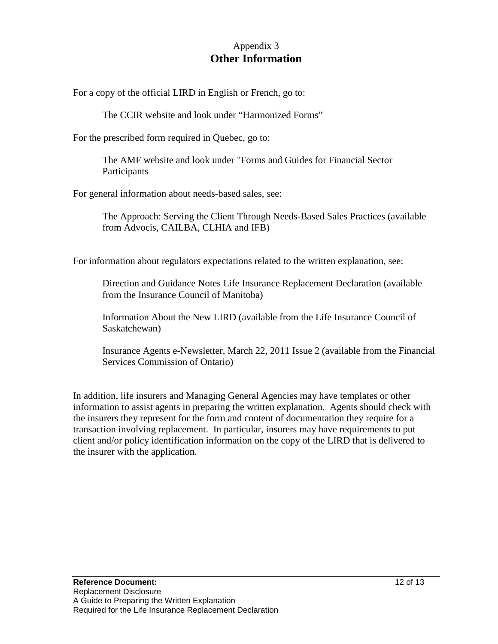### Appendix 3 **Other Information**

For a copy of the official LIRD in English or French, go to:

The CCIR website and look under "Harmonized Forms"

For the prescribed form required in Quebec, go to:

The AMF website and look under "Forms and Guides for Financial Sector **Participants** 

For general information about needs-based sales, see:

The Approach: Serving the Client Through Needs-Based Sales Practices (available from Advocis, CAILBA, CLHIA and IFB)

For information about regulators expectations related to the written explanation, see:

Direction and Guidance Notes Life Insurance Replacement Declaration (available from the Insurance Council of Manitoba)

Information About the New LIRD (available from the Life Insurance Council of Saskatchewan)

Insurance Agents e-Newsletter, March 22, 2011 Issue 2 (available from the Financial Services Commission of Ontario)

In addition, life insurers and Managing General Agencies may have templates or other information to assist agents in preparing the written explanation. Agents should check with the insurers they represent for the form and content of documentation they require for a transaction involving replacement. In particular, insurers may have requirements to put client and/or policy identification information on the copy of the LIRD that is delivered to the insurer with the application.